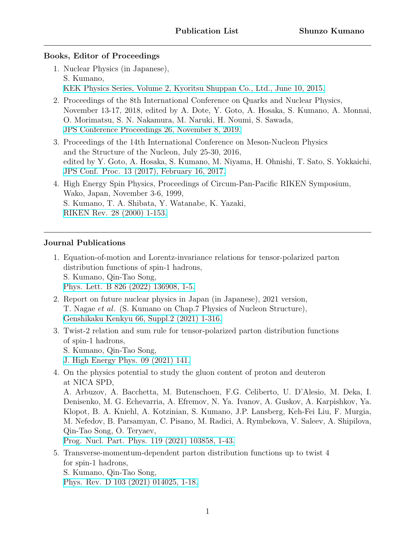#### **Books, Editor of Proceedings**

- 1. Nuclear Physics (in Japanese), S. Kumano, [KEK Physics Series, Volume 2, Kyoritsu Shuppan Co., Ltd., June 10, 2015.](http://www.kyoritsu-pub.co.jp/bookdetail/9784320034853)
- 2. Proceedings of the 8th International Conference on Quarks and Nuclear Physics, November 13-17, 2018, edited by A. Dote, Y. Goto, A. Hosaka, S. Kumano, A. Monnai, O. Morimatsu, S. N. Nakamura, M. Naruki, H. Noumi, S. Sawada, [JPS Conference Proceedings 26, November 8, 2019.](https://journals.jps.jp/doi/book/10.7566/QNP2018)
- 3. Proceedings of the 14th International Conference on Meson-Nucleon Physics and the Structure of the Nucleon, July 25-30, 2016, edited by Y. Goto, A. Hosaka, S. Kumano, M. Niyama, H. Ohnishi, T. Sato, S. Yokkaichi, [JPS Conf. Proc. 13 \(2017\), February 16, 2017.](https://journals.jps.jp/doi/book/10.7566/MENU2016)
- 4. High Energy Spin Physics, Proceedings of Circum-Pan-Pacific RIKEN Symposium, Wako, Japan, November 3-6, 1999, S. Kumano, T. A. Shibata, Y. Watanabe, K. Yazaki, [RIKEN Rev. 28 \(2000\) 1-153.](http://inspirehep.net/record/536873)

### **Journal Publications**

- 1. Equation-of-motion and Lorentz-invariance relations for tensor-polarized parton distribution functions of spin-1 hadrons, S. Kumano, Qin-Tao Song, [Phys. Lett. B 826 \(2022\) 136908, 1-5.](https://doi.org/10.1016/j.physletb.2022.136908)
- 2. Report on future nuclear physics in Japan (in Japanese), 2021 version, T. Nagae *et al*. (S. Kumano on Chap.7 Physics of Nucleon Structure), [Genshikaku Kenkyu 66, Suppl.2 \(2021\) 1-316.](http://genshikaku.jp/backnumber.php?vol=66&issue=sp2)
- 3. Twist-2 relation and sum rule for tensor-polarized parton distribution functions of spin-1 hadrons,
	- S. Kumano, Qin-Tao Song,
	- [J. High Energy Phys. 09 \(2021\) 141.](https://link.springer.com/article/10.1007/JHEP09(2021)141)
- 4. On the physics potential to study the gluon content of proton and deuteron at NICA SPD,

A. Arbuzov, A. Bacchetta, M. Butenschoen, F.G. Celiberto, U. D'Alesio, M. Deka, I. Denisenko, M. G. Echevarria, A. Efremov, N. Ya. Ivanov, A. Guskov, A. Karpishkov, Ya. Klopot, B. A. Kniehl, A. Kotzinian, S. Kumano, J.P. Lansberg, Keh-Fei Liu, F. Murgia, M. Nefedov, B. Parsamyan, C. Pisano, M. Radici, A. Rymbekova, V. Saleev, A. Shipilova, Qin-Tao Song, O. Teryaev,

[Prog. Nucl. Part. Phys. 119 \(2021\) 103858, 1-43.](https://doi.org/10.1016/j.ppnp.2021.103858)

5. Transverse-momentum-dependent parton distribution functions up to twist 4 for spin-1 hadrons,

S. Kumano, Qin-Tao Song,

[Phys. Rev. D 103 \(2021\) 014025, 1-18.](https://journals.aps.org/prd/abstract/10.1103/PhysRevD.103.014025)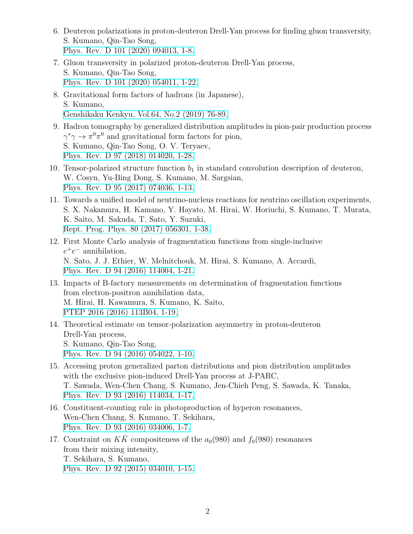- 6. Deuteron polarizations in proton-deuteron Drell-Yan process for finding gluon transversity, S. Kumano, Qin-Tao Song, [Phys. Rev. D 101 \(2020\) 094013, 1-8.](https://link.aps.org/doi/10.1103/PhysRevD.101.094013)
- 7. Gluon transversity in polarized proton-deuteron Drell-Yan process, S. Kumano, Qin-Tao Song, [Phys. Rev. D 101 \(2020\) 054011, 1-22.](https://journals.aps.org/prd/abstract/10.1103/PhysRevD.101.054011)
- 8. Gravitational form factors of hadrons (in Japanese), S. Kumano, [Genshikaku Kenkyu, Vol.64, No.2 \(2019\) 76-89.](http://www.genshikaku.jp/backnumber.php?vol=64&issue=01)
- 9. Hadron tomography by generalized distribution amplitudes in pion-pair production process  $\gamma^* \gamma \to \pi^0 \pi^0$  and gravitational form factors for pion, S. Kumano, Qin-Tao Song, O. V. Teryaev, [Phys. Rev. D 97 \(2018\) 014020, 1-28.](https://journals.aps.org/prd/abstract/10.1103/PhysRevD.97.014020)
- 10. Tensor-polarized structure function  $b_1$  in standard convolution description of deuteron, W. Cosyn, Yu-Bing Dong, S. Kumano, M. Sargsian, [Phys. Rev. D 95 \(2017\) 074036, 1-13.](https://journals.aps.org/prd/abstract/10.1103/PhysRevD.95.074036)
- 11. Towards a unified model of neutrino-nucleus reactions for neutrino oscillation experiments, S. X. Nakamura, H. Kamano, Y. Hayato, M. Hirai, W. Horiuchi, S. Kumano, T. Murata, K. Saito, M. Sakuda, T. Sato, Y. Suzuki, [Rept. Prog. Phys. 80 \(2017\) 056301, 1-38.](http://iopscience.iop.org/article/10.1088/1361-6633/aa5e6c/meta)
- 12. First Monte Carlo analysis of fragmentation functions from single-inclusive *e* +*e <sup>−</sup>* annihilation, N. Sato, J. J. Ethier, W. Melnitchouk, M. Hirai, S. Kumano, A. Accardi, [Phys. Rev. D 94 \(2016\) 114004, 1-21.](https://journals.aps.org/prd/abstract/10.1103/PhysRevD.94.114004)
- 13. Impacts of B-factory measurements on determination of fragmentation functions from electron-positron annihilation data, M. Hirai, H. Kawamura, S. Kumano, K. Saito, [PTEP 2016 \(2016\) 113B04, 1-19.](https://academic.oup.com/ptep/article/2016/11/113B04/2624090)
- 14. Theoretical estimate on tensor-polarization asymmetry in proton-deuteron Drell-Yan process, S. Kumano, Qin-Tao Song, [Phys. Rev. D 94 \(2016\) 054022, 1-10.](https://journals.aps.org/prd/abstract/10.1103/PhysRevD.94.054022)
- 15. Accessing proton generalized parton distributions and pion distribution amplitudes with the exclusive pion-induced Drell-Yan process at J-PARC, T. Sawada, Wen-Chen Chang, S. Kumano, Jen-Chieh Peng, S. Sawada, K. Tanaka, [Phys. Rev. D 93 \(2016\) 114034, 1-17.](https://journals.aps.org/prd/abstract/10.1103/PhysRevD.93.114034)
- 16. Constituent-counting rule in photoproduction of hyperon resonances, Wen-Chen Chang, S. Kumano, T. Sekihara, [Phys. Rev. D 93 \(2016\) 034006, 1-7.](https://journals.aps.org/prd/abstract/10.1103/PhysRevD.93.034006)
- 17. Constraint on  $K\bar{K}$  compositeness of the  $a_0(980)$  and  $f_0(980)$  resonances from their mixing intensity, T. Sekihara, S. Kumano, [Phys. Rev. D 92 \(2015\) 034010, 1-15.](https://journals.aps.org/prd/abstract/10.1103/PhysRevD.92.034010)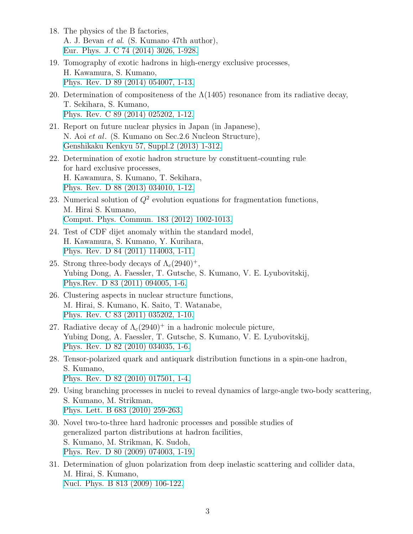- 18. The physics of the B factories, A. J. Bevan *et al*. (S. Kumano 47th author), [Eur. Phys. J. C 74 \(2014\) 3026, 1-928.](https://link.springer.com/article/10.1140%2Fepjc%2Fs10052-014-3026-9)
- 19. Tomography of exotic hadrons in high-energy exclusive processes, H. Kawamura, S. Kumano, [Phys. Rev. D 89 \(2014\) 054007, 1-13.](https://journals.aps.org/prd/abstract/10.1103/PhysRevD.89.054007)
- 20. Determination of compositeness of the  $\Lambda(1405)$  resonance from its radiative decay, T. Sekihara, S. Kumano, [Phys. Rev. C 89 \(2014\) 025202, 1-12.](https://journals.aps.org/prc/abstract/10.1103/PhysRevC.89.025202)
- 21. Report on future nuclear physics in Japan (in Japanese), N. Aoi *et al*. (S. Kumano on Sec.2.6 Nucleon Structure), [Genshikaku Kenkyu 57, Suppl.2 \(2013\) 1-312.](http://www.genshikaku.jp/backnumber.php?vol=57&issue=sp2)
- 22. Determination of exotic hadron structure by constituent-counting rule for hard exclusive processes, H. Kawamura, S. Kumano, T. Sekihara, [Phys. Rev. D 88 \(2013\) 034010, 1-12.](https://journals.aps.org/prd/abstract/10.1103/PhysRevD.88.034010)
- 23. Numerical solution of  $Q^2$  evolution equations for fragmentation functions, M. Hirai S. Kumano, [Comput. Phys. Commun. 183 \(2012\) 1002-1013.](https://www.sciencedirect.com/science/article/pii/S0010465511004103?via%3Dihub)
- 24. Test of CDF dijet anomaly within the standard model, H. Kawamura, S. Kumano, Y. Kurihara, [Phys. Rev. D 84 \(2011\) 114003, 1-11.](https://journals.aps.org/prd/abstract/10.1103/PhysRevD.84.114003)
- 25. Strong three-body decays of  $\Lambda_c(2940)^+$ , Yubing Dong, A. Faessler, T. Gutsche, S. Kumano, V. E. Lyubovitskij, [Phys.Rev. D 83 \(2011\) 094005, 1-6.](https://journals.aps.org/prd/abstract/10.1103/PhysRevD.83.094005)
- 26. Clustering aspects in nuclear structure functions, M. Hirai, S. Kumano, K. Saito, T. Watanabe, [Phys. Rev. C 83 \(2011\) 035202, 1-10.](https://journals.aps.org/prc/abstract/10.1103/PhysRevC.83.035202)
- 27. Radiative decay of  $\Lambda_c(2940)^+$  in a hadronic molecule picture, Yubing Dong, A. Faessler, T. Gutsche, S. Kumano, V. E. Lyubovitskij, [Phys. Rev. D 82 \(2010\) 034035, 1-6.](https://journals.aps.org/prd/abstract/10.1103/PhysRevD.82.034035)
- 28. Tensor-polarized quark and antiquark distribution functions in a spin-one hadron, S. Kumano, [Phys. Rev. D 82 \(2010\) 017501, 1-4.](https://journals.aps.org/prd/abstract/10.1103/PhysRevD.82.017501)
- 29. Using branching processes in nuclei to reveal dynamics of large-angle two-body scattering, S. Kumano, M. Strikman, [Phys. Lett. B 683 \(2010\) 259-263.](https://www.sciencedirect.com/science/article/pii/S0370269309014786?via%3Dihub)
- 30. Novel two-to-three hard hadronic processes and possible studies of generalized parton distributions at hadron facilities, S. Kumano, M. Strikman, K. Sudoh, [Phys. Rev. D 80 \(2009\) 074003, 1-19.](https://journals.aps.org/prd/abstract/10.1103/PhysRevD.80.074003)
- 31. Determination of gluon polarization from deep inelastic scattering and collider data, M. Hirai, S. Kumano, [Nucl. Phys. B 813 \(2009\) 106-122.](https://www.sciencedirect.com/science/article/pii/S0550321308007396?via%3Dihub)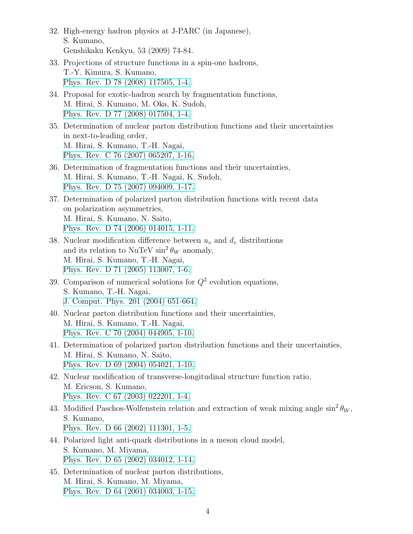- 32. High-energy hadron physics at J-PARC (in Japanese), S. Kumano, Genshikaku Kenkyu, 53 (2009) 74-84.
- 33. Projections of structure functions in a spin-one hadrons, T.-Y. Kimura, S. Kumano, [Phys. Rev. D 78 \(2008\) 117505, 1-4.](https://journals.aps.org/prd/abstract/10.1103/PhysRevD.78.117505)
- 34. Proposal for exotic-hadron search by fragmentation functions, M. Hirai, S. Kumano, M. Oka, K. Sudoh, [Phys. Rev. D 77 \(2008\) 017504, 1-4.](https://journals.aps.org/prd/abstract/10.1103/PhysRevD.77.017504)
- 35. Determination of nuclear parton distribution functions and their uncertainties in next-to-leading order, M. Hirai, S. Kumano, T.-H. Nagai, [Phys. Rev. C 76 \(2007\) 065207, 1-16.](https://journals.aps.org/prc/abstract/10.1103/PhysRevC.76.065207)
- 36. Determination of fragmentation functions and their uncertainties, M. Hirai, S. Kumano, T.-H. Nagai, K. Sudoh, [Phys. Rev. D 75 \(2007\) 094009, 1-17.](https://journals.aps.org/prd/abstract/10.1103/PhysRevD.75.094009)
- 37. Determination of polarized parton distribution functions with recent data on polarization asymmetries, M. Hirai, S. Kumano, N. Saito, [Phys. Rev. D 74 \(2006\) 014015, 1-11.](https://journals.aps.org/prd/abstract/10.1103/PhysRevD.74.014015)
- 38. Nuclear modification difference between  $u_v$  and  $d_v$  distributions and its relation to NuTeV  $\sin^2 \theta_W$  anomaly, M. Hirai, S. Kumano, T.-H. Nagai, [Phys. Rev. D 71 \(2005\) 113007, 1-6.](https://journals.aps.org/prd/abstract/10.1103/PhysRevD.71.113007)
- 39. Comparison of numerical solutions for *Q*<sup>2</sup> evolution equations, S. Kumano, T.-H. Nagai, [J. Comput. Phys. 201 \(2004\) 651-664.](https://www.sciencedirect.com/science/article/pii/S0021999104002591?via%3Dihub)
- 40. Nuclear parton distribution functions and their uncertainties, M. Hirai, S. Kumano, T.-H. Nagai, [Phys. Rev. C 70 \(2004\) 044905, 1-10.](https://journals.aps.org/prc/abstract/10.1103/PhysRevC.70.044905)
- 41. Determination of polarized parton distribution functions and their uncertainties, M. Hirai, S. Kumano, N. Saito, [Phys. Rev. D 69 \(2004\) 054021, 1-10.](https://journals.aps.org/prd/abstract/10.1103/PhysRevD.69.054021)
- 42. Nuclear modification of transverse-longitudinal structure function ratio, M. Ericson, S. Kumano, [Phys. Rev. C 67 \(2003\) 022201, 1-4.](https://journals.aps.org/prc/abstract/10.1103/PhysRevC.67.022201)
- 43. Modified Paschos-Wolfenstein relation and extraction of weak mixing angle  $\sin^2 \theta_W$ , S. Kumano, [Phys. Rev. D 66 \(2002\) 111301, 1-5.](https://journals.aps.org/prd/abstract/10.1103/PhysRevD.66.111301)
- 44. Polarized light anti-quark distributions in a meson cloud model, S. Kumano, M. Miyama, [Phys. Rev. D 65 \(2002\) 034012, 1-14.](https://journals.aps.org/prd/abstract/10.1103/PhysRevD.65.034012)
- 45. Determination of nuclear parton distributions, M. Hirai, S. Kumano, M. Miyama, [Phys. Rev. D 64 \(2001\) 034003, 1-15.](https://journals.aps.org/prd/abstract/10.1103/PhysRevD.64.034003)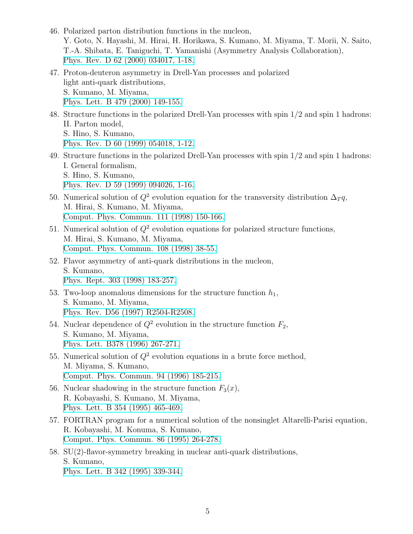- 46. Polarized parton distribution functions in the nucleon, Y. Goto, N. Hayashi, M. Hirai, H. Horikawa, S. Kumano, M. Miyama, T. Morii, N. Saito, T.-A. Shibata, E. Taniguchi, T. Yamanishi (Asymmetry Analysis Collaboration), [Phys. Rev. D 62 \(2000\) 034017, 1-18.](https://journals.aps.org/prd/abstract/10.1103/PhysRevD.62.034017)
- 47. Proton-deuteron asymmetry in Drell-Yan processes and polarized light anti-quark distributions, S. Kumano, M. Miyama, [Phys. Lett. B 479 \(2000\) 149-155.](https://www.sciencedirect.com/science/article/pii/S0370269300003087?via%3Dihub)
- 48. Structure functions in the polarized Drell-Yan processes with spin 1/2 and spin 1 hadrons: II. Parton model, S. Hino, S. Kumano, [Phys. Rev. D 60 \(1999\) 054018, 1-12.](https://journals.aps.org/prd/abstract/10.1103/PhysRevD.60.054018)
- 49. Structure functions in the polarized Drell-Yan processes with spin 1/2 and spin 1 hadrons: I. General formalism, S. Hino, S. Kumano, [Phys. Rev. D 59 \(1999\) 094026, 1-16.](https://journals.aps.org/prd/abstract/10.1103/PhysRevD.59.094026)
- 50. Numerical solution of  $Q^2$  evolution equation for the transversity distribution  $\Delta T q$ , M. Hirai, S. Kumano, M. Miyama, [Comput. Phys. Commun. 111 \(1998\) 150-166.](https://www.sciencedirect.com/science/article/pii/S0010465598000289?via%3Dihub)
- 51. Numerical solution of *Q*<sup>2</sup> evolution equations for polarized structure functions, M. Hirai, S. Kumano, M. Miyama, [Comput. Phys. Commun. 108 \(1998\) 38-55.](https://www.sciencedirect.com/science/article/pii/S001046559700129X?via%3Dihub)
- 52. Flavor asymmetry of anti-quark distributions in the nucleon, S. Kumano, [Phys. Rept. 303 \(1998\) 183-257.](https://www.sciencedirect.com/science/article/pii/S0370157398000167?via%3Dihub)
- 53. Two-loop anomalous dimensions for the structure function  $h_1$ , S. Kumano, M. Miyama, [Phys. Rev. D56 \(1997\) R2504-R2508.](https://journals.aps.org/prd/abstract/10.1103/PhysRevD.56.R2504)
- 54. Nuclear dependence of  $Q^2$  evolution in the structure function  $F_2$ , S. Kumano, M. Miyama, [Phys. Lett. B378 \(1996\) 267-271.](https://www.sciencedirect.com/science/article/pii/0370269396004297?via%3Dihub)
- 55. Numerical solution of  $Q^2$  evolution equations in a brute force method, M. Miyama, S. Kumano, [Comput. Phys. Commun. 94 \(1996\) 185-215.](https://www.sciencedirect.com/science/article/pii/0010465596000136?via%3Dihub)
- 56. Nuclear shadowing in the structure function  $F_3(x)$ , R. Kobayashi, S. Kumano, M. Miyama, [Phys. Lett. B 354 \(1995\) 465-469.](https://www.sciencedirect.com/science/article/pii/0370269395006407?via%3Dihub)
- 57. FORTRAN program for a numerical solution of the nonsinglet Altarelli-Parisi equation, R. Kobayashi, M. Konuma, S. Kumano, [Comput. Phys. Commun. 86 \(1995\) 264-278.](https://www.sciencedirect.com/science/article/pii/001046559400159Y?via%3Dihub)
- 58. SU(2)-flavor-symmetry breaking in nuclear anti-quark distributions, S. Kumano, [Phys. Lett. B 342 \(1995\) 339-344.](https://www.sciencedirect.com/science/article/pii/037026939401366K?via%3Dihub)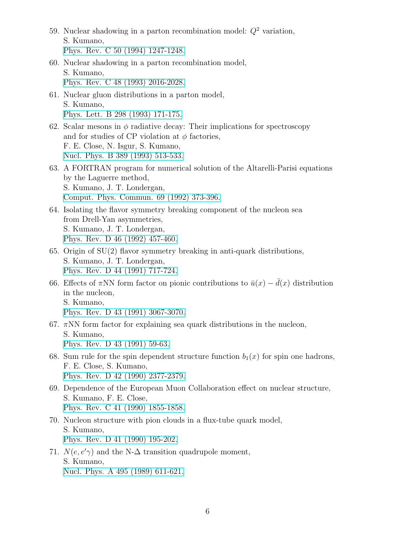- 59. Nuclear shadowing in a parton recombination model: *Q*<sup>2</sup> variation, S. Kumano, [Phys. Rev. C 50 \(1994\) 1247-1248.](https://journals.aps.org/prc/abstract/10.1103/PhysRevC.50.1247)
- 60. Nuclear shadowing in a parton recombination model, S. Kumano, [Phys. Rev. C 48 \(1993\) 2016-2028.](https://journals.aps.org/prc/abstract/10.1103/PhysRevC.48.2016)
- 61. Nuclear gluon distributions in a parton model, S. Kumano, [Phys. Lett. B 298 \(1993\) 171-175.](https://www.sciencedirect.com/science/article/pii/0370269393917253?via%3Dihub)
- 62. Scalar mesons in  $\phi$  radiative decay: Their implications for spectroscopy and for studies of CP violation at  $\phi$  factories, F. E. Close, N. Isgur, S. Kumano, [Nucl. Phys. B 389 \(1993\) 513-533.](https://www.sciencedirect.com/science/article/pii/055032139390329N?via%3Dihub)
- 63. A FORTRAN program for numerical solution of the Altarelli-Parisi equations by the Laguerre method, S. Kumano, J. T. Londergan, [Comput. Phys. Commun. 69 \(1992\) 373-396.](https://www.sciencedirect.com/science/article/pii/001046559290176Y?via%3Dihub)
- 64. Isolating the flavor symmetry breaking component of the nucleon sea from Drell-Yan asymmetries, S. Kumano, J. T. Londergan, [Phys. Rev. D 46 \(1992\) 457-460.](https://journals.aps.org/prd/abstract/10.1103/PhysRevD.46.457)
- 65. Origin of  $SU(2)$  flavor symmetry breaking in anti-quark distributions, S. Kumano, J. T. Londergan, [Phys. Rev. D 44 \(1991\) 717-724.](https://journals.aps.org/prd/abstract/10.1103/PhysRevD.44.717)
- 66. Effects of  $\pi NN$  form factor on pionic contributions to  $\bar{u}(x) \bar{d}(x)$  distribution in the nucleon, S. Kumano, [Phys. Rev. D 43 \(1991\) 3067-3070.](https://journals.aps.org/prd/abstract/10.1103/PhysRevD.43.3067)
- 67.  $\pi$ NN form factor for explaining sea quark distributions in the nucleon, S. Kumano, [Phys. Rev. D 43 \(1991\) 59-63.](https://journals.aps.org/prd/abstract/10.1103/PhysRevD.43.59)
- 68. Sum rule for the spin dependent structure function  $b_1(x)$  for spin one hadrons, F. E. Close, S. Kumano, [Phys. Rev. D 42 \(1990\) 2377-2379.](https://journals.aps.org/prd/abstract/10.1103/PhysRevD.42.2377)
- 69. Dependence of the European Muon Collaboration effect on nuclear structure, S. Kumano, F. E. Close, [Phys. Rev. C 41 \(1990\) 1855-1858.](https://journals.aps.org/prc/abstract/10.1103/PhysRevC.41.1855)
- 70. Nucleon structure with pion clouds in a flux-tube quark model, S. Kumano, [Phys. Rev. D 41 \(1990\) 195-202.](https://journals.aps.org/prd/abstract/10.1103/PhysRevD.41.195)
- 71.  $N(e, e' \gamma)$  and the N- $\Delta$  transition quadrupole moment, S. Kumano, [Nucl. Phys. A 495 \(1989\) 611-621.](https://www.sciencedirect.com/science/article/pii/0375947489903631?via%3Dihub)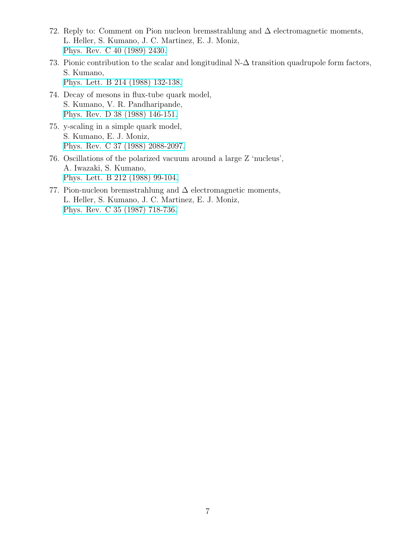- 72. Reply to: Comment on Pion nucleon bremsstrahlung and  $\Delta$  electromagnetic moments, L. Heller, S. Kumano, J. C. Martinez, E. J. Moniz, [Phys. Rev. C 40 \(1989\) 2430.](https://journals.aps.org/prc/abstract/10.1103/PhysRevC.40.2430)
- 73. Pionic contribution to the scalar and longitudinal N-∆ transition quadrupole form factors, S. Kumano, [Phys. Lett. B 214 \(1988\) 132-138.](https://www.sciencedirect.com/science/article/pii/0370269388904662?via%3Dihub)
- 74. Decay of mesons in flux-tube quark model, S. Kumano, V. R. Pandharipande, [Phys. Rev. D 38 \(1988\) 146-151.](https://journals.aps.org/prd/abstract/10.1103/PhysRevD.38.146)
- 75. y-scaling in a simple quark model, S. Kumano, E. J. Moniz, [Phys. Rev. C 37 \(1988\) 2088-2097.](https://journals.aps.org/prc/abstract/10.1103/PhysRevC.37.2088)
- 76. Oscillations of the polarized vacuum around a large Z 'nucleus', A. Iwazaki, S. Kumano, [Phys. Lett. B 212 \(1988\) 99-104.](https://www.sciencedirect.com/science/article/pii/0370269388912439?via%3Dihub)
- 77. Pion-nucleon bremsstrahlung and  $\Delta$  electromagnetic moments, L. Heller, S. Kumano, J. C. Martinez, E. J. Moniz, [Phys. Rev. C 35 \(1987\) 718-736.](https://journals.aps.org/prc/abstract/10.1103/PhysRevC.35.718)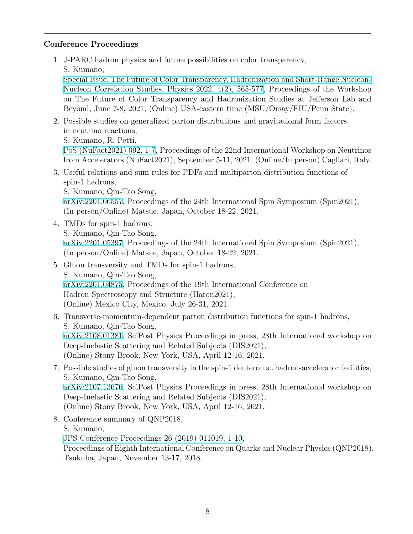# **Conference Proceedings**

1. J-PARC hadron physics and future possibilities on color transparency,

S. Kumano,

[Special Issue, The Future of Color Transparency, Hadronization and Short-Range Nucleon-](https://www.mdpi.com/2624-8174/4/2/37)[Nucleon Correlation Studies, Physics 2022, 4\(2\), 565-577,](https://www.mdpi.com/2624-8174/4/2/37) Proceedings of the Workshop on The Future of Color Transparency and Hadronization Studies at Jefferson Lab and Beyond, June 7-8, 2021, (Online) USA-eastern time (MSU/Orsay/FIU/Penn State).

2. Possible studies on generalized parton distributions and gravitational form factors in neutrino reactions,

S. Kumano, R. Petti,

[PoS \(NuFact2021\) 092, 1-7](https://pos.sissa.it/402/), Proceedings of the 22nd International Workshop on Neutrinos from Accelerators (NuFact2021), September 5-11, 2021, (Online/In person) Cagliari, Italy.

3. Useful relations and sum rules for PDFs and multiparton distribution functions of spin-1 hadrons,

S. Kumano, Qin-Tao Song,

[arXiv:2201.06557,](https://arxiv.org/abs/2201.06557) Proceedings of the 24th International Spin Symposium (Spin2021), (In person/Online) Matsue, Japan, October 18-22, 2021.

- 4. TMDs for spin-1 hadrons, S. Kumano, Qin-Tao Song, [arXiv:2201.05397,](https://arxiv.org/abs/2201.05397) Proceedings of the 24th International Spin Symposium (Spin2021), (In person/Online) Matsue, Japan, October 18-22, 2021.
- 5. Gluon transversity and TMDs for spin-1 hadrons, S. Kumano, Qin-Tao Song, [arXiv:2201.04875,](https://arxiv.org/abs/2201.04875) Proceedings of the 19th International Conference on Hadron Spectroscopy and Structure (Haron2021), (Online) Mexico City, Mexico, July 26-31, 2021.
- 6. Transverse-momentum-dependent parton distribution functions for spin-1 hadrons, S. Kumano, Qin-Tao Song, [arXiv:2108.01381,](https://arxiv.org/abs/2108.01381) SciPost Physics Proceedings in press, 28th International workshop on Deep-Inelastic Scattering and Related Subjects (DIS2021), (Online) Stony Brook, New York, USA, April 12-16, 2021.
- 7. Possible studies of gluon transversity in the spin-1 deuteron at hadron-accelerator facilities, S. Kumano, Qin-Tao Song, [arXiv:2107.13676,](https://arxiv.org/abs/2107.13676) SciPost Physics Proceedings in press, 28th International workshop on Deep-Inelastic Scattering and Related Subjects (DIS2021), (Online) Stony Brook, New York, USA, April 12-16, 2021.
- 8. Conference summary of QNP2018, S. Kumano, [JPS Conference Proceedings 26 \(2019\) 011019, 1-10](https://journals.jps.jp/doi/abs/10.7566/JPSCP.26.011019), Proceedings of Eighth International Conference on Quarks and Nuclear Physics (QNP2018), Tsukuba, Japan, November 13-17, 2018.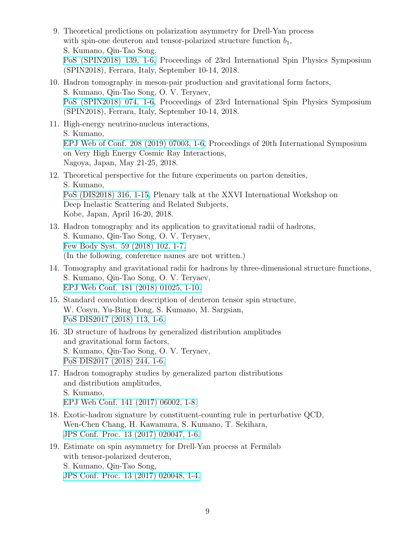- 9. Theoretical predictions on polarization asymmetry for Drell-Yan process with spin-one deuteron and tensor-polarized structure function  $b_1$ , S. Kumano, Qin-Tao Song, [PoS \(SPIN2018\) 139, 1-6,](https://pos.sissa.it/346/139) Proceedings of 23rd International Spin Physics Symposium (SPIN2018), Ferrara, Italy, September 10-14, 2018.
- 10. Hadron tomography in meson-pair production and gravitational form factors, S. Kumano, Qin-Tao Song, O. V. Teryaev, [PoS \(SPIN2018\) 074, 1-6,](https://pos.sissa.it/346/074) Proceedings of 23rd International Spin Physics Symposium (SPIN2018), Ferrara, Italy, September 10-14, 2018.
- 11. High-energy neutrino-nucleus interactions, S. Kumano, [EPJ Web of Conf. 208 \(2019\) 07003, 1-6,](https://www.epj-conferences.org/articles/epjconf/abs/2019/13/epjconf_isvhecri2018_07003/epjconf_isvhecri2018_07003.html) Proceedings of 20th International Symposium on Very High Energy Cosmic Ray Interactions, Nagoya, Japan, May 21-25, 2018.
- 12. Theoretical perspective for the future experiments on parton densities, S. Kumano, [PoS \(DIS2018\) 316, 1-15](https://pos.sissa.it/316), Plenary talk at the XXVI International Workshop on Deep Inelastic Scattering and Related Subjects, Kobe, Japan, April 16-20, 2018.
- 13. Hadron tomography and its application to gravitational radii of hadrons, S. Kumano, Qin-Tao Song, O. V. Teryaev, [Few Body Syst. 59 \(2018\) 102, 1-7.](https://link.springer.com/article/10.1007%2Fs00601-018-1424-5) (In the following, conference names are not written.)
- 14. Tomography and gravitational radii for hadrons by three-dimensional structure functions, S. Kumano, Qin-Tao Song, O. V. Teryaev, [EPJ Web Conf. 181 \(2018\) 01025, 1-10.](https://www.epj-conferences.org/articles/epjconf/abs/2018/16/epjconf_exa2017_01025/epjconf_exa2017_01025.html)
- 15. Standard convolution description of deuteron tensor spin structure, W. Cosyn, Yu-Bing Dong, S. Kumano, M. Sargsian, [PoS DIS2017 \(2018\) 113, 1-6.](https://pos.sissa.it/297/113)
- 16. 3D structure of hadrons by generalized distribution amplitudes and gravitational form factors, S. Kumano, Qin-Tao Song, O. V. Teryaev, [PoS DIS2017 \(2018\) 244, 1-6.](https://pos.sissa.it/297/244)
- 17. Hadron tomography studies by generalized parton distributions and distribution amplitudes, S. Kumano, [EPJ Web Conf. 141 \(2017\) 06002, 1-8.](https://www.epj-conferences.org/articles/epjconf/abs/2017/10/epjconf_ismd2017_06002/epjconf_ismd2017_06002.html)
- 18. Exotic-hadron signature by constituent-counting rule in perturbative QCD, Wen-Chen Chang, H. Kawamura, S. Kumano, T. Sekihara, [JPS Conf. Proc. 13 \(2017\) 020047, 1-6.](https://journals.jps.jp/doi/10.7566/JPSCP.13.020047)
- 19. Estimate on spin asymmetry for Drell-Yan process at Fermilab with tensor-polarized deuteron, S. Kumano, Qin-Tao Song, [JPS Conf. Proc. 13 \(2017\) 020048, 1-4.](https://journals.jps.jp/doi/10.7566/JPSCP.13.020048)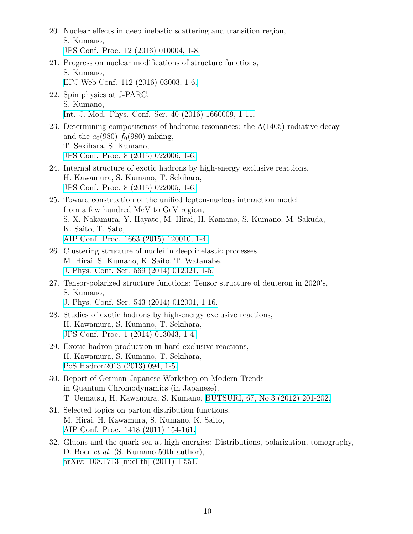- 20. Nuclear effects in deep inelastic scattering and transition region, S. Kumano, [JPS Conf. Proc. 12 \(2016\) 010004, 1-8.](https://journals.jps.jp/doi/10.7566/JPSCP.12.010004)
- 21. Progress on nuclear modifications of structure functions, S. Kumano, [EPJ Web Conf. 112 \(2016\) 03003, 1-6.](https://www.epj-conferences.org/articles/epjconf/abs/2016/07/epjconf_poetic2016_03003/epjconf_poetic2016_03003.html)
- 22. Spin physics at J-PARC, S. Kumano, [Int. J. Mod. Phys. Conf. Ser. 40 \(2016\) 1660009, 1-11.](https://www.worldscientific.com/doi/abs/10.1142/S2010194516600090)
- 23. Determining compositeness of hadronic resonances: the  $\Lambda(1405)$  radiative decay and the  $a_0(980)$ - $f_0(980)$  mixing, T. Sekihara, S. Kumano, [JPS Conf. Proc. 8 \(2015\) 022006, 1-6.](https://journals.jps.jp/doi/10.7566/JPSCP.8.022006)
- 24. Internal structure of exotic hadrons by high-energy exclusive reactions, H. Kawamura, S. Kumano, T. Sekihara, [JPS Conf. Proc. 8 \(2015\) 022005, 1-6.](https://journals.jps.jp/doi/10.7566/JPSCP.8.022005)
- 25. Toward construction of the unified lepton-nucleus interaction model from a few hundred MeV to GeV region, S. X. Nakamura, Y. Hayato, M. Hirai, H. Kamano, S. Kumano, M. Sakuda, K. Saito, T. Sato, [AIP Conf. Proc. 1663 \(2015\) 120010, 1-4.](https://aip.scitation.org/doi/abs/10.1063/1.4919516)
- 26. Clustering structure of nuclei in deep inelastic processes, M. Hirai, S. Kumano, K. Saito, T. Watanabe, [J. Phys. Conf. Ser. 569 \(2014\) 012021, 1-5.](http://iopscience.iop.org/article/10.1088/1742-6596/569/1/012021/meta)
- 27. Tensor-polarized structure functions: Tensor structure of deuteron in 2020's, S. Kumano, [J. Phys. Conf. Ser. 543 \(2014\) 012001, 1-16.](http://iopscience.iop.org/article/10.1088/1742-6596/543/1/012001/meta)
- 28. Studies of exotic hadrons by high-energy exclusive reactions, H. Kawamura, S. Kumano, T. Sekihara, [JPS Conf. Proc. 1 \(2014\) 013043, 1-4.](https://journals.jps.jp/doi/10.7566/JPSCP.1.013043)
- 29. Exotic hadron production in hard exclusive reactions, H. Kawamura, S. Kumano, T. Sekihara, [PoS Hadron2013 \(2013\) 094, 1-5.](https://pos.sissa.it/205/094)
- 30. Report of German-Japanese Workshop on Modern Trends in Quantum Chromodynamics (in Japanese), T. Uematsu, H. Kawamura, S. Kumano, [BUTSURI, 67, No.3 \(2012\) 201-202.](https://www.jstage.jst.go.jp/article/pesj/60/1/60_KJ00007943592/_article/-char/ja/)
- 31. Selected topics on parton distribution functions, M. Hirai, H. Kawamura, S. Kumano, K. Saito, [AIP Conf. Proc. 1418 \(2011\) 154-161.](https://aip.scitation.org/doi/abs/10.1063/1.3667318)
- 32. Gluons and the quark sea at high energies: Distributions, polarization, tomography, D. Boer *et al*. (S. Kumano 50th author), [arXiv:1108.1713 \[nucl-th\] \(2011\) 1-551.](https://arxiv.org/abs/1108.1713)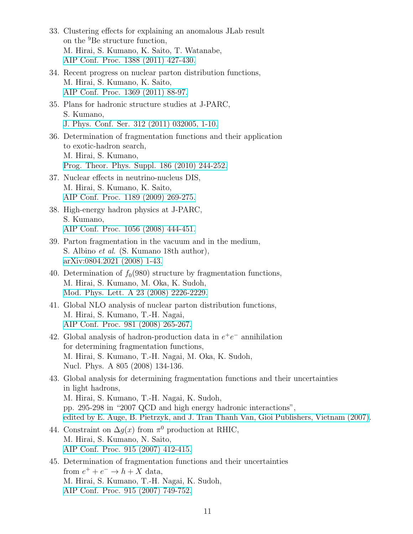- 33. Clustering effects for explaining an anomalous JLab result on the <sup>9</sup>Be structure function, M. Hirai, S. Kumano, K. Saito, T. Watanabe, [AIP Conf. Proc. 1388 \(2011\) 427-430.](https://aip.scitation.org/doi/abs/10.1063/1.3647423)
- 34. Recent progress on nuclear parton distribution functions, M. Hirai, S. Kumano, K. Saito, [AIP Conf. Proc. 1369 \(2011\) 88-97.](https://aip.scitation.org/doi/abs/10.1063/1.3631523)
- 35. Plans for hadronic structure studies at J-PARC, S. Kumano, [J. Phys. Conf. Ser. 312 \(2011\) 032005, 1-10.](http://iopscience.iop.org/article/10.1088/1742-6596/312/3/032005/meta)
- 36. Determination of fragmentation functions and their application to exotic-hadron search, M. Hirai, S. Kumano, [Prog. Theor. Phys. Suppl. 186 \(2010\) 244-252.](https://academic.oup.com/ptps/article/doi/10.1143/PTPS.186.244/1874567)
- 37. Nuclear effects in neutrino-nucleus DIS, M. Hirai, S. Kumano, K. Saito, [AIP Conf. Proc. 1189 \(2009\) 269-275.](https://aip.scitation.org/doi/abs/10.1063/1.3274169)
- 38. High-energy hadron physics at J-PARC, S. Kumano, [AIP Conf. Proc. 1056 \(2008\) 444-451.](https://aip.scitation.org/doi/abs/10.1063/1.3013077)
- 39. Parton fragmentation in the vacuum and in the medium, S. Albino *et al*. (S. Kumano 18th author), [arXiv:0804.2021 \(2008\) 1-43.](https://arxiv.org/abs/0804.2021)
- 40. Determination of  $f_0(980)$  structure by fragmentation functions, M. Hirai, S. Kumano, M. Oka, K. Sudoh, [Mod. Phys. Lett. A 23 \(2008\) 2226-2229.](https://www.worldscientific.com/doi/abs/10.1142/S0217732308029071)
- 41. Global NLO analysis of nuclear parton distribution functions, M. Hirai, S. Kumano, T.-H. Nagai, [AIP Conf. Proc. 981 \(2008\) 265-267.](https://aip.scitation.org/doi/abs/10.1063/1.2898955)
- 42. Global analysis of hadron-production data in  $e^+e^-$  annihilation for determining fragmentation functions, M. Hirai, S. Kumano, T.-H. Nagai, M. Oka, K. Sudoh, Nucl. Phys. A 805 (2008) 134-136.
- 43. Global analysis for determining fragmentation functions and their uncertainties in light hadrons, M. Hirai, S. Kumano, T.-H. Nagai, K. Sudoh, pp. 295-298 in "2007 QCD and high energy hadronic interactions", [edited by E. Auge, B. Pietrzyk, and J. Tran Thanh Van, Gioi Publishers, Vietnam \(2007\).](http://inspirehep.net/record/1217633)
- 44. Constraint on  $\Delta g(x)$  from  $\pi^0$  production at RHIC, M. Hirai, S. Kumano, N. Saito, [AIP Conf. Proc. 915 \(2007\) 412-415.](https://aip.scitation.org/doi/abs/10.1063/1.2750809)
- 45. Determination of fragmentation functions and their uncertainties from  $e^+ + e^- \rightarrow h + X$  data, M. Hirai, S. Kumano, T.-H. Nagai, K. Sudoh, [AIP Conf. Proc. 915 \(2007\) 749-752.](https://aip.scitation.org/doi/abs/10.1063/1.2750887)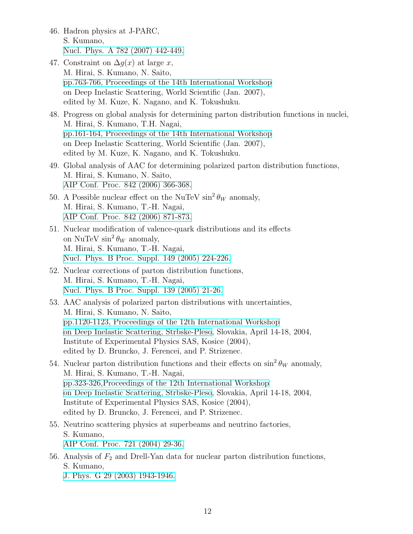- 46. Hadron physics at J-PARC, S. Kumano, [Nucl. Phys. A 782 \(2007\) 442-449.](https://www.sciencedirect.com/science/article/pii/S0375947406006580?via%3Dihub)
- 47. Constraint on  $\Delta q(x)$  at large *x*, M. Hirai, S. Kumano, N. Saito, [pp.763-766, Proceedings of the 14th International Workshop](https://www.worldscientific.com/doi/abs/10.1142/9789812706706_0179) on Deep Inelastic Scattering, World Scientific (Jan. 2007), edited by M. Kuze, K. Nagano, and K. Tokushuku.
- 48. Progress on global analysis for determining parton distribution functions in nuclei, M. Hirai, S. Kumano, T.H. Nagai, [pp.161-164, Proceedings of the 14th International Workshop](https://www.worldscientific.com/doi/abs/10.1142/9789812706706_0031) on Deep Inelastic Scattering, World Scientific (Jan. 2007), edited by M. Kuze, K. Nagano, and K. Tokushuku.
- 49. Global analysis of AAC for determining polarized parton distribution functions, M. Hirai, S. Kumano, N. Saito, [AIP Conf. Proc. 842 \(2006\) 366-368.](https://aip.scitation.org/doi/abs/10.1063/1.2220273)
- 50. A Possible nuclear effect on the NuTeV  $\sin^2 \theta_W$  anomaly, M. Hirai, S. Kumano, T.-H. Nagai, [AIP Conf. Proc. 842 \(2006\) 871-873.](https://aip.scitation.org/doi/abs/10.1063/1.2220407)
- 51. Nuclear modification of valence-quark distributions and its effects on NuTeV  $\sin^2 \theta_W$  anomaly, M. Hirai, S. Kumano, T.-H. Nagai, [Nucl. Phys. B Proc. Suppl. 149 \(2005\) 224-226.](https://www.sciencedirect.com/science/article/pii/S0920563205007644?via%3Dihub)
- 52. Nuclear corrections of parton distribution functions, M. Hirai, S. Kumano, T.-H. Nagai, [Nucl. Phys. B Proc. Suppl. 139 \(2005\) 21-26.](https://www.sciencedirect.com/science/article/pii/S0920563204007959?via%3Dihub)
- 53. AAC analysis of polarized parton distributions with uncertainties, M. Hirai, S. Kumano, N. Saito, [pp.1120-1123, Proceedings of the 12th International Workshop](http://inspirehep.net/search?ln=en&ln=en&p=773__w%3AC04-04-14+or+773__w%3AC04%2F04%2F14+and+980__a%3AConferencePaper+and+a+kumano+and+t+aac&of=hb&action_search=Search&sf=&so=d&rm=&rg=250&sc=0) [on Deep Inelastic Scattering, Strbske-Pleso](http://inspirehep.net/search?ln=en&ln=en&p=773__w%3AC04-04-14+or+773__w%3AC04%2F04%2F14+and+980__a%3AConferencePaper+and+a+kumano+and+t+aac&of=hb&action_search=Search&sf=&so=d&rm=&rg=250&sc=0), Slovakia, April 14-18, 2004, Institute of Experimental Physics SAS, Kosice (2004), edited by D. Bruncko, J. Ferencei, and P. Strizenec.
- 54. Nuclear parton distribution functions and their effects on  $\sin^2 \theta_W$  anomaly, M. Hirai, S. Kumano, T.-H. Nagai, [pp.323-326,Proceedings of the 12th International Workshop](http://inspirehep.net/search?ln=en&ln=en&p=773__w%3AC04-04-14+or+773__w%3AC04%2F04%2F14+and+980__a%3AConferencePaper+and+a+kumano+and+t+anomaly&of=hb&action_search=Search&sf=&so=d&rm=&rg=250&sc=0) [on Deep Inelastic Scattering, Strbske-Pleso](http://inspirehep.net/search?ln=en&ln=en&p=773__w%3AC04-04-14+or+773__w%3AC04%2F04%2F14+and+980__a%3AConferencePaper+and+a+kumano+and+t+anomaly&of=hb&action_search=Search&sf=&so=d&rm=&rg=250&sc=0), Slovakia, April 14-18, 2004, Institute of Experimental Physics SAS, Kosice (2004), edited by D. Bruncko, J. Ferencei, and P. Strizenec.
- 55. Neutrino scattering physics at superbeams and neutrino factories, S. Kumano, [AIP Conf. Proc. 721 \(2004\) 29-36.](https://aip.scitation.org/doi/abs/10.1063/1.1818374)
- 56. Analysis of *F*<sup>2</sup> and Drell-Yan data for nuclear parton distribution functions, S. Kumano,
	- [J. Phys. G 29 \(2003\) 1943-1946.](http://iopscience.iop.org/article/10.1088/0954-3899/29/8/376/meta)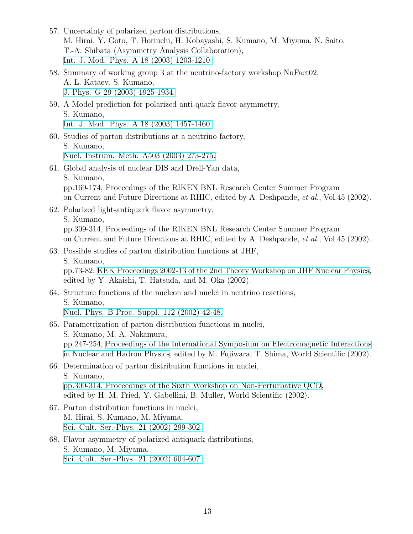- 57. Uncertainty of polarized parton distributions, M. Hirai, Y. Goto, T. Horiuchi, H. Kobayashi, S. Kumano, M. Miyama, N. Saito, T.-A. Shibata (Asymmetry Analysis Collaboration), [Int. J. Mod. Phys. A 18 \(2003\) 1203-1210.](https://www.worldscientific.com/doi/abs/10.1142/S0217751X03014526)
- 58. Summary of working group 3 at the neutrino-factory workshop NuFact02, A. L. Kataev, S. Kumano, [J. Phys. G 29 \(2003\) 1925-1934.](http://iopscience.iop.org/article/10.1088/0954-3899/29/8/374/meta)
- 59. A Model prediction for polarized anti-quark flavor asymmetry, S. Kumano, [Int. J. Mod. Phys. A 18 \(2003\) 1457-1460.](https://www.worldscientific.com/doi/abs/10.1142/S0217751X03014897)
- 60. Studies of parton distributions at a neutrino factory, S. Kumano, [Nucl. Instrum. Meth. A503 \(2003\) 273-275.](https://www.sciencedirect.com/science/article/pii/S0168900203006946?via%3Dihub)
- 61. Global analysis of nuclear DIS and Drell-Yan data, S. Kumano, pp.169-174, Proceedings of the RIKEN BNL Research Center Summer Program on Current and Future Directions at RHIC, edited by A. Deshpande, *et al.*, Vol.45 (2002).
- 62. Polarized light-antiquark flavor asymmetry, S. Kumano, pp.309-314, Proceedings of the RIKEN BNL Research Center Summer Program on Current and Future Directions at RHIC, edited by A. Deshpande, *et al.*, Vol.45 (2002).
- 63. Possible studies of parton distribution functions at JHF, S. Kumano, pp.73-82, [KEK Proceedings 2002-13 of the 2nd Theory Workshop on JHF Nuclear Physics,](http://inspirehep.net/record/606296) edited by Y. Akaishi, T. Hatsuda, and M. Oka (2002).

# 64. Structure functions of the nucleon and nuclei in neutrino reactions, S. Kumano, [Nucl. Phys. B Proc. Suppl. 112 \(2002\) 42-48.](https://www.sciencedirect.com/science/article/pii/S0920563202017607?via%3Dihub)

- 65. Parametrization of parton distribution functions in nuclei, S. Kumano, M. A. Nakamura, pp.247-254, [Proceedings of the International Symposium on Electromagnetic Interactions](http://inspirehep.net/record/607409) [in Nuclear and Hadron Physics,](http://inspirehep.net/record/607409) edited by M. Fujiwara, T. Shima, World Scientific (2002).
- 66. Determination of parton distribution functions in nuclei, S. Kumano, [pp.309-314, Proceedings of the Sixth Workshop on Non-Perturbative QCD,](https://www.worldscientific.com/doi/abs/10.1142/9789812778352_0042) edited by H. M. Fried, Y. Gabellini, B. Muller, World Scientific (2002).
- 67. Parton distribution functions in nuclei, M. Hirai, S. Kumano, M. Miyama, [Sci. Cult. Ser.-Phys. 21 \(2002\) 299-302.](https://www.worldscientific.com/doi/abs/10.1142/9789812778345_0024)
- 68. Flavor asymmetry of polarized antiquark distributions, S. Kumano, M. Miyama, [Sci. Cult. Ser.-Phys. 21 \(2002\) 604-607.](https://www.worldscientific.com/doi/abs/10.1142/9789812778345_0086)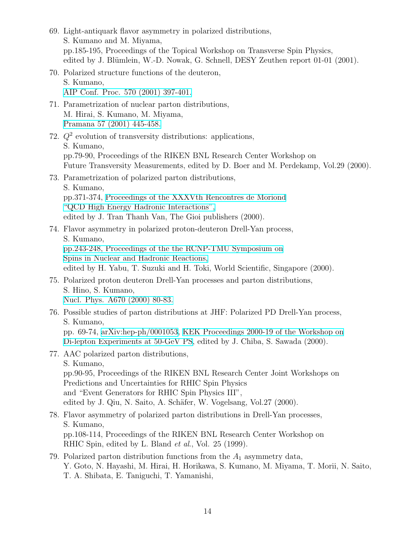- 69. Light-antiquark flavor asymmetry in polarized distributions, S. Kumano and M. Miyama, pp.185-195, Proceedings of the Topical Workshop on Transverse Spin Physics, edited by J. Blümlein, W.-D. Nowak, G. Schnell, DESY Zeuthen report 01-01 (2001). 70. Polarized structure functions of the deuteron, S. Kumano, [AIP Conf. Proc. 570 \(2001\) 397-401.](https://aip.scitation.org/doi/abs/10.1063/1.1384088) 71. Parametrization of nuclear parton distributions, M. Hirai, S. Kumano, M. Miyama, [Pramana 57 \(2001\) 445-458.](https://link.springer.com/article/10.1007%2Fs12043-001-0052-6) 72. *Q*<sup>2</sup> evolution of transversity distributions: applications, S. Kumano, pp.79-90, Proceedings of the RIKEN BNL Research Center Workshop on Future Transversity Measurements, edited by D. Boer and M. Perdekamp, Vol.29 (2000). 73. Parametrization of polarized parton distributions, S. Kumano, pp.371-374, [Proceedings of the XXXVth Rencontres de Moriond](http://inspirehep.net/record/858680) ["QCD High Energy Hadronic Interactions",](http://inspirehep.net/record/858680) edited by J. Tran Thanh Van, The Gioi publishers (2000). 74. Flavor asymmetry in polarized proton-deuteron Drell-Yan process, S. Kumano, [pp.243-248, Proceedings of the the RCNP-TMU Symposium on](https://www.worldscientific.com/doi/abs/10.1142/9789812792297_0029) [Spins in Nuclear and Hadronic Reactions,](https://www.worldscientific.com/doi/abs/10.1142/9789812792297_0029) edited by H. Yabu, T. Suzuki and H. Toki, World Scientific, Singapore (2000). 75. Polarized proton deuteron Drell-Yan processes and parton distributions, S. Hino, S. Kumano, [Nucl. Phys. A670 \(2000\) 80-83.](https://www.sciencedirect.com/science/article/pii/S0375947400000749?via%3Dihub) 76. Possible studies of parton distributions at JHF: Polarized PD Drell-Yan process, S. Kumano, pp. 69-74, [arXiv:hep-ph/0001053,](https://arxiv.org/abs/hep-ph/0001053) [KEK Proceedings 2000-19 of the Workshop on](http://inspirehep.net/record/543678) [Di-lepton Experiments at 50-GeV PS,](http://inspirehep.net/record/543678) edited by J. Chiba, S. Sawada (2000). 77. AAC polarized parton distributions, S. Kumano, pp.90-95, Proceedings of the RIKEN BNL Research Center Joint Workshops on Predictions and Uncertainties for RHIC Spin Physics and "Event Generators for RHIC Spin Physics III", edited by J. Qiu, N. Saito, A. Schäfer, W. Vogelsang, Vol.27 (2000). 78. Flavor asymmetry of polarized parton distributions in Drell-Yan processes, S. Kumano, pp.108-114, Proceedings of the RIKEN BNL Research Center Workshop on RHIC Spin, edited by L. Bland *et al*., Vol. 25 (1999). 79. Polarized parton distribution functions from the *A*<sup>1</sup> asymmetry data, Y. Goto, N. Hayashi, M. Hirai, H. Horikawa, S. Kumano, M. Miyama, T. Morii, N. Saito,
	- T. A. Shibata, E. Taniguchi, T. Yamanishi,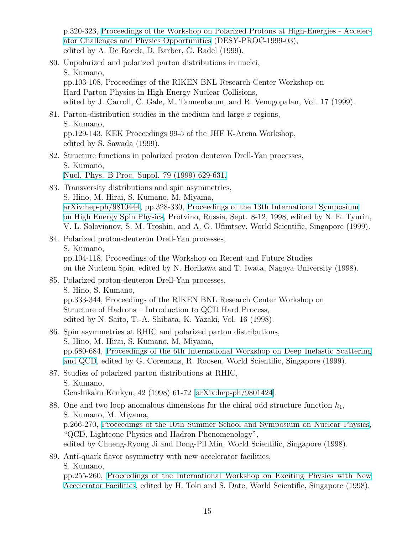p.320-323, [Proceedings of the Workshop on Polarized Protons at High-Energies - Acceler](http://inspirehep.net/record/511716)[ator Challenges and Physics Opportunities](http://inspirehep.net/record/511716) (DESY-PROC-1999-03), edited by A. De Roeck, D. Barber, G. Radel (1999).

- 80. Unpolarized and polarized parton distributions in nuclei, S. Kumano, pp.103-108, Proceedings of the RIKEN BNL Research Center Workshop on Hard Parton Physics in High Energy Nuclear Collisions, edited by J. Carroll, C. Gale, M. Tannenbaum, and R. Venugopalan, Vol. 17 (1999).
- 81. Parton-distribution studies in the medium and large *x* regions, S. Kumano, pp.129-143, KEK Proceedings 99-5 of the JHF K-Arena Workshop, edited by S. Sawada (1999).
- 82. Structure functions in polarized proton deuteron Drell-Yan processes, S. Kumano, [Nucl. Phys. B Proc. Suppl. 79 \(1999\) 629-631.](https://www.sciencedirect.com/science/article/pii/S092056329900804X?via%3Dihub)
- 83. Transversity distributions and spin asymmetries, S. Hino, M. Hirai, S. Kumano, M. Miyama, [arXiv:hep-ph/9810444,](https://arxiv.org/abs/hep-ph/9810444) pp.328-330, [Proceedings of the 13th International Symposium](http://inspirehep.net/record/513804) [on High Energy Spin Physics](http://inspirehep.net/record/513804), Protvino, Russia, Sept. 8-12, 1998, edited by N. E. Tyurin, V. L. Solovianov, S. M. Troshin, and A. G. Ufimtsev, World Scientific, Singapore (1999).
- 84. Polarized proton-deuteron Drell-Yan processes, S. Kumano, pp.104-118, Proceedings of the Workshop on Recent and Future Studies on the Nucleon Spin, edited by N. Horikawa and T. Iwata, Nagoya University (1998).
- 85. Polarized proton-deuteron Drell-Yan processes, S. Hino, S. Kumano, pp.333-344, Proceedings of the RIKEN BNL Research Center Workshop on Structure of Hadrons – Introduction to QCD Hard Process, edited by N. Saito, T.-A. Shibata, K. Yazaki, Vol. 16 (1998).
- 86. Spin asymmetries at RHIC and polarized parton distributions, S. Hino, M. Hirai, S. Kumano, M. Miyama, pp.680-684, [Proceedings of the 6th International Workshop on Deep Inelastic Scattering](http://inspirehep.net/record/484096) [and QCD](http://inspirehep.net/record/484096), edited by G. Coremans, R. Roosen, World Scientific, Singapore (1999).
- 87. Studies of polarized parton distributions at RHIC, S. Kumano, Genshikaku Kenkyu, 42 (1998) 61-72 [[arXiv:hep-ph/9801424](https://arxiv.org/abs/hep-ph/9801424)].
- 88. One and two loop anomalous dimensions for the chiral odd structure function  $h_1$ , S. Kumano, M. Miyama, p.266-270, [Proceedings of the 10th Summer School and Symposium on Nuclear Physics,](http://inspirehep.net/record/480471) "QCD, Lightcone Physics and Hadron Phenomenology", edited by Chueng-Ryong Ji and Dong-Pil Min, World Scientific, Singapore (1998).
- 89. Anti-quark flavor asymmetry with new accelerator facilities, S. Kumano, pp.255-260, [Proceedings of the International Workshop on Exciting Physics with New](http://inspirehep.net/record/483522)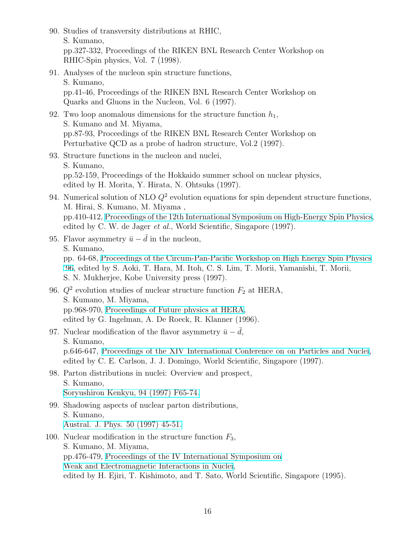90. Studies of transversity distributions at RHIC, S. Kumano, pp.327-332, Proceedings of the RIKEN BNL Research Center Workshop on RHIC-Spin physics, Vol. 7 (1998). 91. Analyses of the nucleon spin structure functions, S. Kumano, pp.41-46, Proceedings of the RIKEN BNL Research Center Workshop on Quarks and Gluons in the Nucleon, Vol. 6 (1997). 92. Two loop anomalous dimensions for the structure function  $h_1$ , S. Kumano and M. Miyama, pp.87-93, Proceedings of the RIKEN BNL Research Center Workshop on Perturbative QCD as a probe of hadron structure, Vol.2 (1997). 93. Structure functions in the nucleon and nuclei, S. Kumano, pp.52-159, Proceedings of the Hokkaido summer school on nuclear physics, edited by H. Morita, Y. Hirata, N. Ohtsuka (1997). 94. Numerical solution of NLO  $Q^2$  evolution equations for spin dependent structure functions, M. Hirai, S. Kumano, M. Miyama , pp.410-412, [Proceedings of the 12th International Symposium on High-Energy Spin Physics,](http://inspirehep.net/record/457936) edited by C. W. de Jager *et al.*, World Scientific, Singapore (1997). 95. Flavor asymmetry  $\bar{u} - \bar{d}$  in the nucleon, S. Kumano, pp. 64-68, [Proceedings of the Circum-Pan-Pacific Workshop on High Energy Spin Physics](http://inspirehep.net/record/458116) ['96](http://inspirehep.net/record/458116), edited by S. Aoki, T. Hara, M. Itoh, C. S. Lim, T. Morii, Yamanishi, T. Morii, S. N. Mukherjee, Kobe University press (1997). 96.  $Q^2$  evolution studies of nuclear structure function  $F_2$  at HERA, S. Kumano, M. Miyama, pp.968-970, [Proceedings of Future physics at HERA,](http://inspirehep.net/record/426509) edited by G. Ingelman, A. De Roeck, R. Klanner (1996). 97. Nuclear modification of the flavor asymmetry  $\bar{u} - \bar{d}$ , S. Kumano, p.646-647, [Proceedings of the XIV International Conference on on Particles and Nuclei,](http://inspirehep.net/record/459064) edited by C. E. Carlson, J. J. Domingo, World Scientific, Singapore (1997). 98. Parton distributions in nuclei: Overview and prospect, S. Kumano, [Soryushiron Kenkyu, 94 \(1997\) F65-74.](https://www.jstage.jst.go.jp/article/soken/94/6/94_KJ00004709122/_article) 99. Shadowing aspects of nuclear parton distributions, S. Kumano, [Austral. J. Phys. 50 \(1997\) 45-51.](http://www.publish.csiro.au/ph/P96035) 100. Nuclear modification in the structure function *F*3, S. Kumano, M. Miyama, pp.476-479, [Proceedings of the IV International Symposium on](http://inspirehep.net/record/408527) [Weak and Electromagnetic Interactions in Nuclei,](http://inspirehep.net/record/408527) edited by H. Ejiri, T. Kishimoto, and T. Sato, World Scientific, Singapore (1995).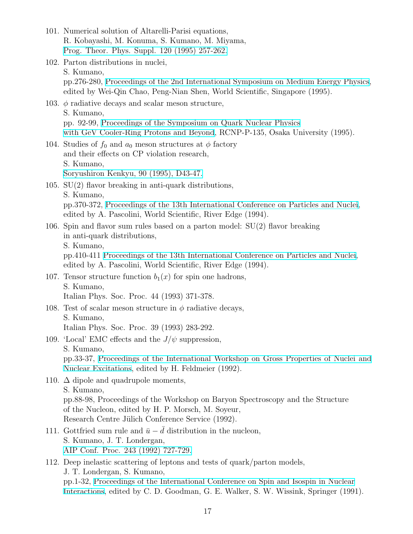- 101. Numerical solution of Altarelli-Parisi equations, R. Kobayashi, M. Konuma, S. Kumano, M. Miyama, [Prog. Theor. Phys. Suppl. 120 \(1995\) 257-262.](https://academic.oup.com/ptps/article/doi/10.1143/PTP.120.257/1931482)
- 102. Parton distributions in nuclei, S. Kumano, pp.276-280, [Proceedings of the 2nd International Symposium on Medium Energy Physics,](http://inspirehep.net/record/402435) edited by Wei-Qin Chao, Peng-Nian Shen, World Scientific, Singapore (1995).
- 103.  $\phi$  radiative decays and scalar meson structure, S. Kumano, pp. 92-99, [Proceedings of the Symposium on Quark Nuclear Physics](http://inspirehep.net/record/380256?ln=ja) [with GeV Cooler-Ring Protons and Beyond](http://inspirehep.net/record/380256?ln=ja), RCNP-P-135, Osaka University (1995).
- 104. Studies of  $f_0$  and  $a_0$  meson structures at  $\phi$  factory and their effects on CP violation research, S. Kumano, [Soryushiron Kenkyu, 90 \(1995\), D43-47.](https://www.jstage.jst.go.jp/article/soken/90/4/90_KJ00004711175/_article)
- 105. SU(2) flavor breaking in anti-quark distributions, S. Kumano, pp.370-372, [Proceedings of the 13th International Conference on Particles and Nuclei](http://inspirehep.net/record/1415006), edited by A. Pascolini, World Scientific, River Edge (1994).
- 106. Spin and flavor sum rules based on a parton model: SU(2) flavor breaking in anti-quark distributions,
	- S. Kumano,

pp.410-411 [Proceedings of the 13th International Conference on Particles and Nuclei,](http://inspirehep.net/record/1415006) edited by A. Pascolini, World Scientific, River Edge (1994).

- 107. Tensor structure function  $b_1(x)$  for spin one hadrons, S. Kumano, Italian Phys. Soc. Proc. 44 (1993) 371-378.
- 108. Test of scalar meson structure in  $\phi$  radiative decays, S. Kumano, Italian Phys. Soc. Proc. 39 (1993) 283-292.
- 109. 'Local' EMC effects and the  $J/\psi$  suppression, S. Kumano, pp.33-37, [Proceedings of the International Workshop on Gross Properties of Nuclei and](http://inspirehep.net/record/338383) [Nuclear Excitations](http://inspirehep.net/record/338383), edited by H. Feldmeier (1992).
- 110.  $\Delta$  dipole and quadrupole moments,

S. Kumano,

pp.88-98, Proceedings of the Workshop on Baryon Spectroscopy and the Structure of the Nucleon, edited by H. P. Morsch, M. Soyeur, Research Centre Jülich Conference Service (1992).

- 111. Gottfried sum rule and  $\bar{u} \bar{d}$  distribution in the nucleon, S. Kumano, J. T. Londergan, [AIP Conf. Proc. 243 \(1992\) 727-729.](https://aip.scitation.org/doi/abs/10.1063/1.41591)
- 112. Deep inelastic scattering of leptons and tests of quark/parton models, J. T. Londergan, S. Kumano, pp.1-32, [Proceedings of the International Conference on Spin and Isospin in Nuclear](http://inspirehep.net/record/967699) [Interactions,](http://inspirehep.net/record/967699) edited by C. D. Goodman, G. E. Walker, S. W. Wissink, Springer (1991).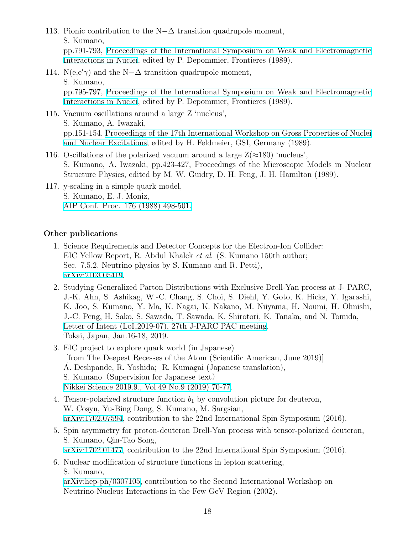- 113. Pionic contribution to the N*−*∆ transition quadrupole moment, S. Kumano, pp.791-793, [Proceedings of the International Symposium on Weak and Electromagnetic](http://inspirehep.net/record/966754) [Interactions in Nuclei](http://inspirehep.net/record/966754), edited by P. Depommier, Frontieres (1989).
- 114.  $N(e,e' \gamma)$  and the  $N-\Delta$  transition quadrupole moment, S. Kumano, pp.795-797, [Proceedings of the International Symposium on Weak and Electromagnetic](http://inspirehep.net/record/966754) [Interactions in Nuclei](http://inspirehep.net/record/966754), edited by P. Depommier, Frontieres (1989).
- 115. Vacuum oscillations around a large Z 'nucleus', S. Kumano, A. Iwazaki, pp.151-154, [Proceedings of the 17th International Workshop on Gross Properties of Nuclei](http://inspirehep.net/record/968547) [and Nuclear Excitations,](http://inspirehep.net/record/968547) edited by H. Feldmeier, GSI, Germany (1989).
- 116. Oscillations of the polarized vacuum around a large  $Z(\approx 180)$  'nucleus', S. Kumano, A. Iwazaki, pp.423-427, Proceedings of the Microscopic Models in Nuclear Structure Physics, edited by M. W. Guidry, D. H. Feng, J. H. Hamilton (1989).
- 117. y-scaling in a simple quark model, S. Kumano, E. J. Moniz, [AIP Conf. Proc. 176 \(1988\) 498-501.](https://aip.scitation.org/doi/abs/10.1063/1.37681)

#### **Other publications**

- 1. Science Requirements and Detector Concepts for the Electron-Ion Collider: EIC Yellow Report, R. Abdul Khalek *et al*. (S. Kumano 150th author; Sec. 7.5.2, Neutrino physics by S. Kumano and R. Petti), [arXiv:2103.05419.](https://arxiv.org/abs/2103.05419)
- 2. Studying Generalized Parton Distributions with Exclusive Drell-Yan process at J- PARC, J.-K. Ahn, S. Ashikag, W.-C. Chang, S. Choi, S. Diehl, Y. Goto, K. Hicks, Y. Igarashi, K. Joo, S. Kumano, Y. Ma, K. Nagai, K. Nakano, M. Niiyama, H. Noumi, H. Ohnishi, J.-C. Peng, H. Sako, S. Sawada, T. Sawada, K. Shirotori, K. Tanaka, and N. Tomida, Letter of Intent (LoI [2019-07\), 27th J-PARC PAC meeting](https://j-parc.jp/researcher/Hadron/en/Proposal_e.html#1901), Tokai, Japan, Jan.16-18, 2019.
- 3. EIC project to explore quark world (in Japanese) [from The Deepest Recesses of the Atom (Scientific American, June 2019)] A. Deshpande, R. Yoshida; R. Kumagai (Japanese translation), S. Kumano (Supervision for Japanese text) [Nikkei Science 2019.9., Vol.49 No.9 \(2019\) 70-77.](http://www.nikkei-science.com/201909_070.html)
- 4. Tensor-polarized structure function  $b_1$  by convolution picture for deuteron, W. Cosyn, Yu-Bing Dong, S. Kumano, M. Sargsian, [arXiv:1702.07594,](https://arxiv.org/abs/1702.07594) contribution to the 22nd International Spin Symposium (2016).
- 5. Spin asymmetry for proton-deuteron Drell-Yan process with tensor-polarized deuteron, S. Kumano, Qin-Tao Song, [arXiv:1702.01477,](https://arxiv.org/abs/1702.01477) contribution to the 22nd International Spin Symposium (2016).
- 6. Nuclear modification of structure functions in lepton scattering, S. Kumano, [arXiv:hep-ph/0307105,](https://arxiv.org/abs/hep-ph/0307105) contribution to the Second International Workshop on Neutrino-Nucleus Interactions in the Few GeV Region (2002).